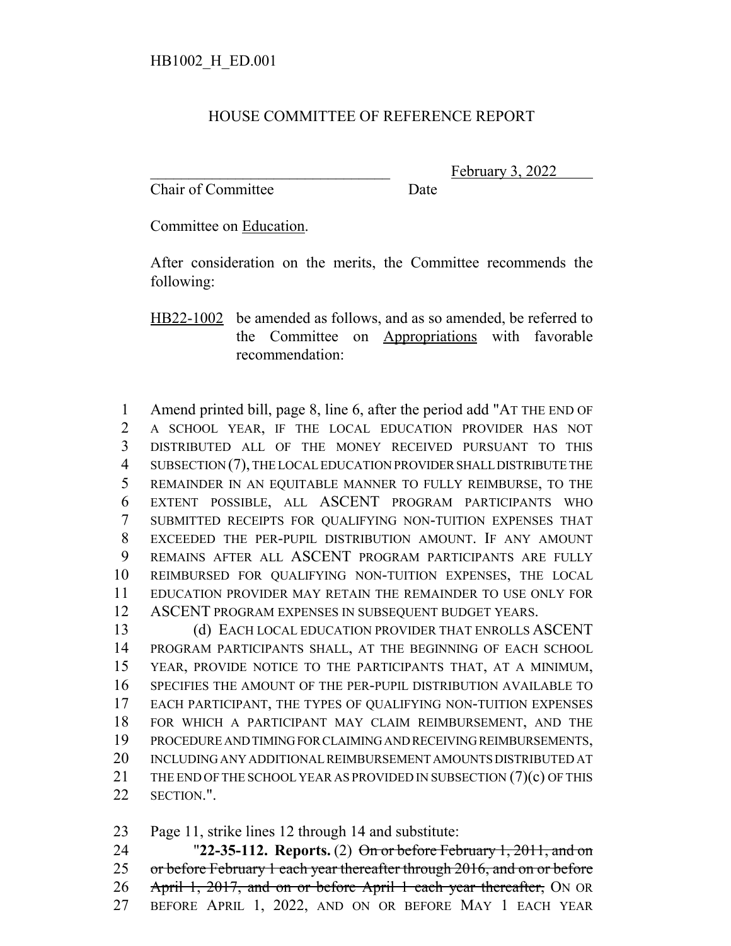## HOUSE COMMITTEE OF REFERENCE REPORT

Chair of Committee Date

February 3, 2022

Committee on Education.

After consideration on the merits, the Committee recommends the following:

HB22-1002 be amended as follows, and as so amended, be referred to the Committee on Appropriations with favorable recommendation:

 Amend printed bill, page 8, line 6, after the period add "AT THE END OF A SCHOOL YEAR, IF THE LOCAL EDUCATION PROVIDER HAS NOT DISTRIBUTED ALL OF THE MONEY RECEIVED PURSUANT TO THIS SUBSECTION (7), THE LOCAL EDUCATION PROVIDER SHALL DISTRIBUTE THE REMAINDER IN AN EQUITABLE MANNER TO FULLY REIMBURSE, TO THE EXTENT POSSIBLE, ALL ASCENT PROGRAM PARTICIPANTS WHO SUBMITTED RECEIPTS FOR QUALIFYING NON-TUITION EXPENSES THAT EXCEEDED THE PER-PUPIL DISTRIBUTION AMOUNT. IF ANY AMOUNT REMAINS AFTER ALL ASCENT PROGRAM PARTICIPANTS ARE FULLY REIMBURSED FOR QUALIFYING NON-TUITION EXPENSES, THE LOCAL EDUCATION PROVIDER MAY RETAIN THE REMAINDER TO USE ONLY FOR ASCENT PROGRAM EXPENSES IN SUBSEQUENT BUDGET YEARS.

13 (d) EACH LOCAL EDUCATION PROVIDER THAT ENROLLS ASCENT PROGRAM PARTICIPANTS SHALL, AT THE BEGINNING OF EACH SCHOOL YEAR, PROVIDE NOTICE TO THE PARTICIPANTS THAT, AT A MINIMUM, SPECIFIES THE AMOUNT OF THE PER-PUPIL DISTRIBUTION AVAILABLE TO EACH PARTICIPANT, THE TYPES OF QUALIFYING NON-TUITION EXPENSES FOR WHICH A PARTICIPANT MAY CLAIM REIMBURSEMENT, AND THE PROCEDURE AND TIMING FOR CLAIMING AND RECEIVING REIMBURSEMENTS, INCLUDING ANY ADDITIONAL REIMBURSEMENT AMOUNTS DISTRIBUTED AT 21 THE END OF THE SCHOOL YEAR AS PROVIDED IN SUBSECTION (7)(c) OF THIS SECTION.".

Page 11, strike lines 12 through 14 and substitute:

 "**22-35-112. Reports.** (2) On or before February 1, 2011, and on 25 or before February 1 each year thereafter through 2016, and on or before 26 April 1, 2017, and on or before April 1 each year thereafter, ON OR BEFORE APRIL 1, 2022, AND ON OR BEFORE MAY 1 EACH YEAR